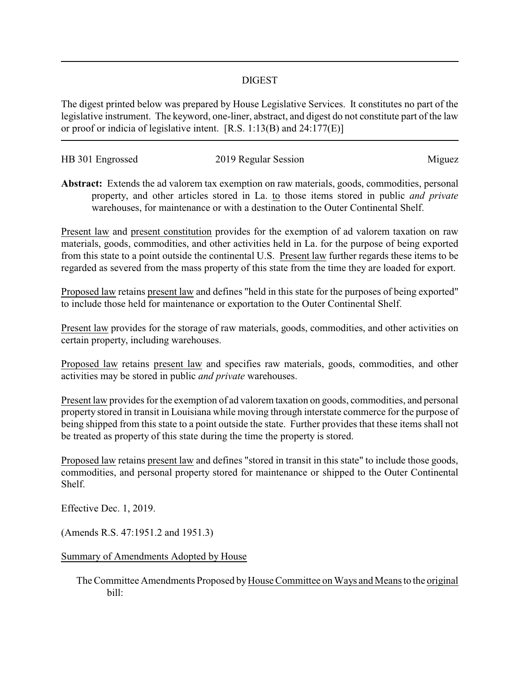## DIGEST

The digest printed below was prepared by House Legislative Services. It constitutes no part of the legislative instrument. The keyword, one-liner, abstract, and digest do not constitute part of the law or proof or indicia of legislative intent. [R.S. 1:13(B) and 24:177(E)]

| HB 301 Engrossed | 2019 Regular Session |        |
|------------------|----------------------|--------|
|                  |                      | Miguez |

**Abstract:** Extends the ad valorem tax exemption on raw materials, goods, commodities, personal property, and other articles stored in La. to those items stored in public *and private* warehouses, for maintenance or with a destination to the Outer Continental Shelf.

Present law and present constitution provides for the exemption of ad valorem taxation on raw materials, goods, commodities, and other activities held in La. for the purpose of being exported from this state to a point outside the continental U.S. Present law further regards these items to be regarded as severed from the mass property of this state from the time they are loaded for export.

Proposed law retains present law and defines "held in this state for the purposes of being exported" to include those held for maintenance or exportation to the Outer Continental Shelf.

Present law provides for the storage of raw materials, goods, commodities, and other activities on certain property, including warehouses.

Proposed law retains present law and specifies raw materials, goods, commodities, and other activities may be stored in public *and private* warehouses.

Present law provides for the exemption of ad valorem taxation on goods, commodities, and personal property stored in transit in Louisiana while moving through interstate commerce for the purpose of being shipped from this state to a point outside the state. Further provides that these items shall not be treated as property of this state during the time the property is stored.

Proposed law retains present law and defines "stored in transit in this state" to include those goods, commodities, and personal property stored for maintenance or shipped to the Outer Continental Shelf.

Effective Dec. 1, 2019.

(Amends R.S. 47:1951.2 and 1951.3)

Summary of Amendments Adopted by House

The Committee Amendments Proposed byHouse Committee on Ways and Means to the original bill: